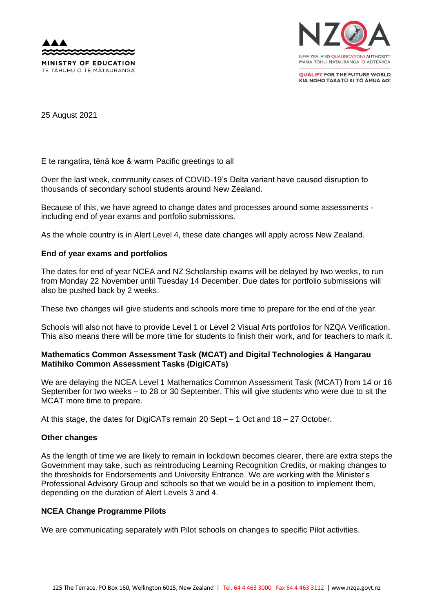



**OUALIFY FOR THE FUTURE WORLD** KIA NOHO TAKATŪ KI TŌ ĀMUA AO!

25 August 2021

E te rangatira, tēnā koe & warm Pacific greetings to all

Over the last week, community cases of COVID-19's Delta variant have caused disruption to thousands of secondary school students around New Zealand.

Because of this, we have agreed to change dates and processes around some assessments including end of year exams and portfolio submissions.

As the whole country is in Alert Level 4, these date changes will apply across New Zealand.

# **End of year exams and portfolios**

The dates for end of year NCEA and NZ Scholarship exams will be delayed by two weeks, to run from Monday 22 November until Tuesday 14 December. Due dates for portfolio submissions will also be pushed back by 2 weeks.

These two changes will give students and schools more time to prepare for the end of the year.

Schools will also not have to provide Level 1 or Level 2 Visual Arts portfolios for NZQA Verification. This also means there will be more time for students to finish their work, and for teachers to mark it.

## **Mathematics Common Assessment Task (MCAT) and Digital Technologies & Hangarau Matihiko Common Assessment Tasks (DigiCATs)**

We are delaying the NCEA Level 1 Mathematics Common Assessment Task (MCAT) from 14 or 16 September for two weeks – to 28 or 30 September. This will give students who were due to sit the MCAT more time to prepare.

At this stage, the dates for DigiCATs remain 20 Sept – 1 Oct and 18 – 27 October.

#### **Other changes**

As the length of time we are likely to remain in lockdown becomes clearer, there are extra steps the Government may take, such as reintroducing Learning Recognition Credits, or making changes to the thresholds for Endorsements and University Entrance. We are working with the Minister's Professional Advisory Group and schools so that we would be in a position to implement them, depending on the duration of Alert Levels 3 and 4.

#### **NCEA Change Programme Pilots**

We are communicating separately with Pilot schools on changes to specific Pilot activities.